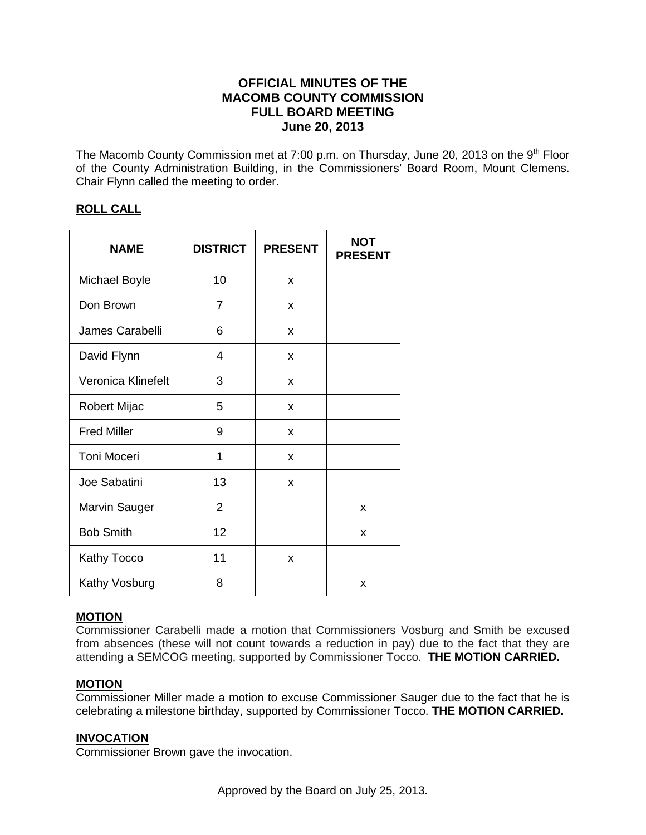# **OFFICIAL MINUTES OF THE MACOMB COUNTY COMMISSION FULL BOARD MEETING June 20, 2013**

The Macomb County Commission met at 7:00 p.m. on Thursday, June 20, 2013 on the  $9<sup>th</sup>$  Floor of the County Administration Building, in the Commissioners' Board Room, Mount Clemens. Chair Flynn called the meeting to order.

## **ROLL CALL**

| <b>NAME</b>        | <b>DISTRICT</b> | <b>PRESENT</b> | <b>NOT</b><br><b>PRESENT</b> |
|--------------------|-----------------|----------------|------------------------------|
| Michael Boyle      | 10              | X              |                              |
| Don Brown          | $\overline{7}$  | X              |                              |
| James Carabelli    | 6               | X              |                              |
| David Flynn        | 4               | X              |                              |
| Veronica Klinefelt | 3               | X              |                              |
| Robert Mijac       | 5               | X              |                              |
| <b>Fred Miller</b> | 9               | X              |                              |
| <b>Toni Moceri</b> | 1               | X              |                              |
| Joe Sabatini       | 13              | X              |                              |
| Marvin Sauger      | $\overline{2}$  |                | X                            |
| <b>Bob Smith</b>   | 12              |                | X                            |
| <b>Kathy Tocco</b> | 11              | X              |                              |
| Kathy Vosburg      | 8               |                | x                            |

# **MOTION**

Commissioner Carabelli made a motion that Commissioners Vosburg and Smith be excused from absences (these will not count towards a reduction in pay) due to the fact that they are attending a SEMCOG meeting, supported by Commissioner Tocco. **THE MOTION CARRIED.** 

## **MOTION**

Commissioner Miller made a motion to excuse Commissioner Sauger due to the fact that he is celebrating a milestone birthday, supported by Commissioner Tocco. **THE MOTION CARRIED.** 

## **INVOCATION**

Commissioner Brown gave the invocation.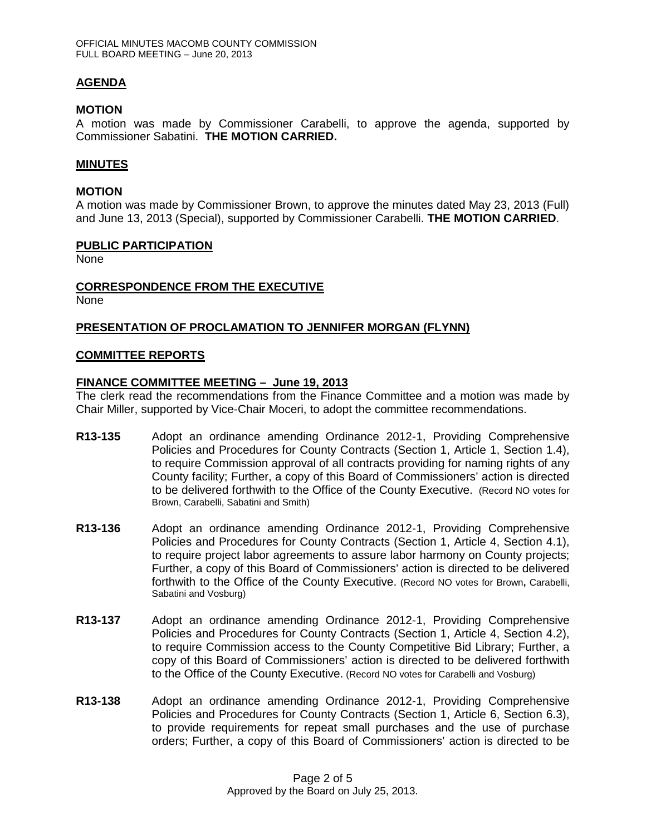## **AGENDA**

### **MOTION**

A motion was made by Commissioner Carabelli, to approve the agenda, supported by Commissioner Sabatini. **THE MOTION CARRIED.**

## **MINUTES**

### **MOTION**

A motion was made by Commissioner Brown, to approve the minutes dated May 23, 2013 (Full) and June 13, 2013 (Special), supported by Commissioner Carabelli. **THE MOTION CARRIED**.

#### **PUBLIC PARTICIPATION**

None

### **CORRESPONDENCE FROM THE EXECUTIVE**

None

### **PRESENTATION OF PROCLAMATION TO JENNIFER MORGAN (FLYNN)**

#### **COMMITTEE REPORTS**

### **FINANCE COMMITTEE MEETING – June 19, 2013**

The clerk read the recommendations from the Finance Committee and a motion was made by Chair Miller, supported by Vice-Chair Moceri, to adopt the committee recommendations.

- **R13-135** Adopt an ordinance amending Ordinance 2012-1, Providing Comprehensive Policies and Procedures for County Contracts (Section 1, Article 1, Section 1.4), to require Commission approval of all contracts providing for naming rights of any County facility; Further, a copy of this Board of Commissioners' action is directed to be delivered forthwith to the Office of the County Executive. (Record NO votes for Brown, Carabelli, Sabatini and Smith)
- **R13-136** Adopt an ordinance amending Ordinance 2012-1, Providing Comprehensive Policies and Procedures for County Contracts (Section 1, Article 4, Section 4.1), to require project labor agreements to assure labor harmony on County projects; Further, a copy of this Board of Commissioners' action is directed to be delivered forthwith to the Office of the County Executive. (Record NO votes for Brown**,** Carabelli, Sabatini and Vosburg)
- **R13-137** Adopt an ordinance amending Ordinance 2012-1, Providing Comprehensive Policies and Procedures for County Contracts (Section 1, Article 4, Section 4.2), to require Commission access to the County Competitive Bid Library; Further, a copy of this Board of Commissioners' action is directed to be delivered forthwith to the Office of the County Executive. (Record NO votes for Carabelli and Vosburg)
- **R13-138** Adopt an ordinance amending Ordinance 2012-1, Providing Comprehensive Policies and Procedures for County Contracts (Section 1, Article 6, Section 6.3), to provide requirements for repeat small purchases and the use of purchase orders; Further, a copy of this Board of Commissioners' action is directed to be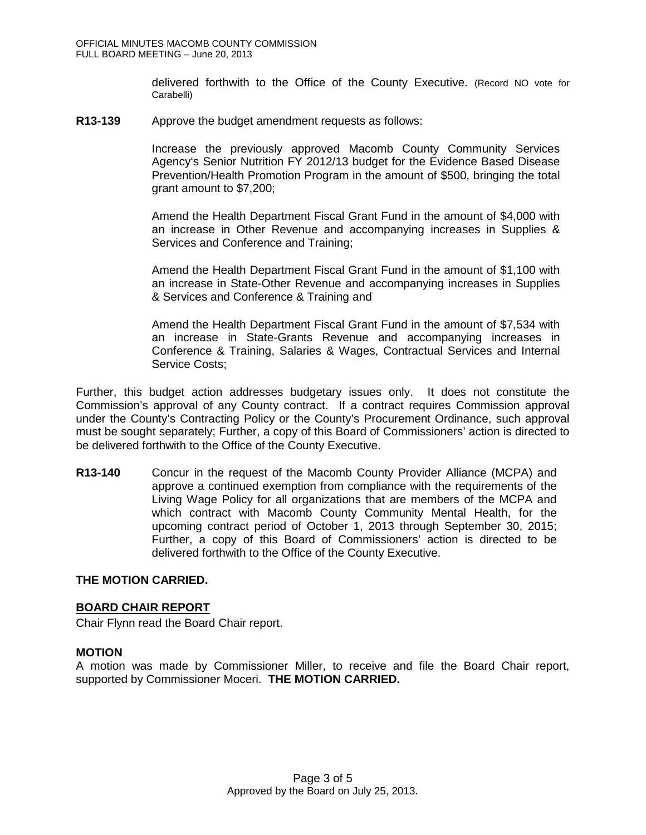delivered forthwith to the Office of the County Executive. (Record NO vote for Carabelli)

**R13-139** Approve the budget amendment requests as follows:

Increase the previously approved Macomb County Community Services Agency's Senior Nutrition FY 2012/13 budget for the Evidence Based Disease Prevention/Health Promotion Program in the amount of \$500, bringing the total grant amount to \$7,200;

Amend the Health Department Fiscal Grant Fund in the amount of \$4,000 with an increase in Other Revenue and accompanying increases in Supplies & Services and Conference and Training;

Amend the Health Department Fiscal Grant Fund in the amount of \$1,100 with an increase in State-Other Revenue and accompanying increases in Supplies & Services and Conference & Training and

Amend the Health Department Fiscal Grant Fund in the amount of \$7,534 with an increase in State-Grants Revenue and accompanying increases in Conference & Training, Salaries & Wages, Contractual Services and Internal Service Costs;

Further, this budget action addresses budgetary issues only. It does not constitute the Commission's approval of any County contract. If a contract requires Commission approval under the County's Contracting Policy or the County's Procurement Ordinance, such approval must be sought separately; Further, a copy of this Board of Commissioners' action is directed to be delivered forthwith to the Office of the County Executive.

**R13-140** Concur in the request of the Macomb County Provider Alliance (MCPA) and approve a continued exemption from compliance with the requirements of the Living Wage Policy for all organizations that are members of the MCPA and which contract with Macomb County Community Mental Health, for the upcoming contract period of October 1, 2013 through September 30, 2015; Further, a copy of this Board of Commissioners' action is directed to be delivered forthwith to the Office of the County Executive.

## **THE MOTION CARRIED.**

#### **BOARD CHAIR REPORT**

Chair Flynn read the Board Chair report.

#### **MOTION**

A motion was made by Commissioner Miller, to receive and file the Board Chair report, supported by Commissioner Moceri. **THE MOTION CARRIED.**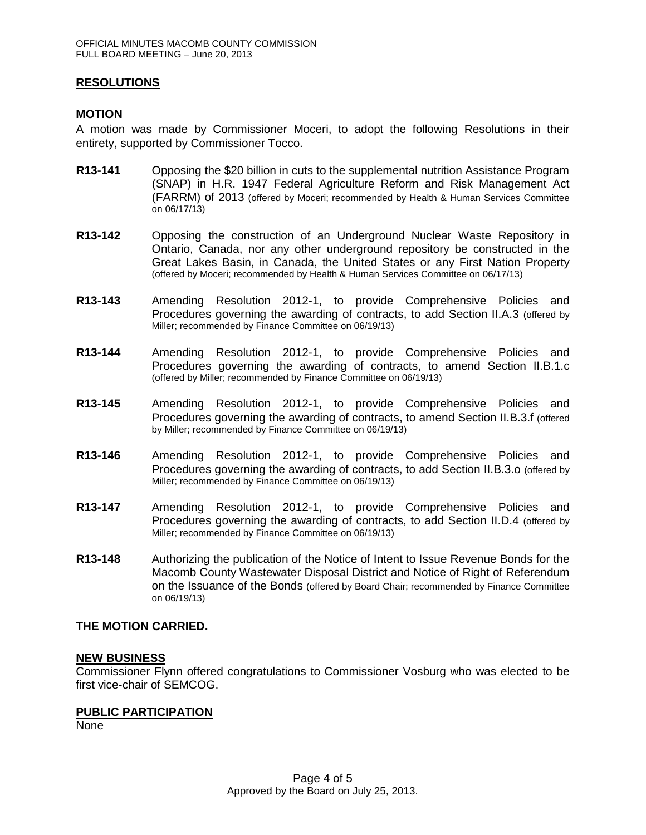## **RESOLUTIONS**

### **MOTION**

A motion was made by Commissioner Moceri, to adopt the following Resolutions in their entirety, supported by Commissioner Tocco.

- **R13-141** Opposing the \$20 billion in cuts to the supplemental nutrition Assistance Program (SNAP) in H.R. 1947 Federal Agriculture Reform and Risk Management Act (FARRM) of 2013 (offered by Moceri; recommended by Health & Human Services Committee on 06/17/13)
- **R13-142** Opposing the construction of an Underground Nuclear Waste Repository in Ontario, Canada, nor any other underground repository be constructed in the Great Lakes Basin, in Canada, the United States or any First Nation Property (offered by Moceri; recommended by Health & Human Services Committee on 06/17/13)
- **R13-143** Amending Resolution 2012-1, to provide Comprehensive Policies and Procedures governing the awarding of contracts, to add Section II.A.3 (offered by Miller; recommended by Finance Committee on 06/19/13)
- **R13-144** Amending Resolution 2012-1, to provide Comprehensive Policies and Procedures governing the awarding of contracts, to amend Section II.B.1.c (offered by Miller; recommended by Finance Committee on 06/19/13)
- **R13-145** Amending Resolution 2012-1, to provide Comprehensive Policies and Procedures governing the awarding of contracts, to amend Section II.B.3.f (offered by Miller; recommended by Finance Committee on 06/19/13)
- **R13-146** Amending Resolution 2012-1, to provide Comprehensive Policies and Procedures governing the awarding of contracts, to add Section II.B.3.o (offered by Miller; recommended by Finance Committee on 06/19/13)
- **R13-147** Amending Resolution 2012-1, to provide Comprehensive Policies and Procedures governing the awarding of contracts, to add Section II.D.4 (offered by Miller; recommended by Finance Committee on 06/19/13)
- **R13-148** Authorizing the publication of the Notice of Intent to Issue Revenue Bonds for the Macomb County Wastewater Disposal District and Notice of Right of Referendum on the Issuance of the Bonds (offered by Board Chair; recommended by Finance Committee on 06/19/13)

#### **THE MOTION CARRIED.**

#### **NEW BUSINESS**

Commissioner Flynn offered congratulations to Commissioner Vosburg who was elected to be first vice-chair of SEMCOG.

#### **PUBLIC PARTICIPATION**

None